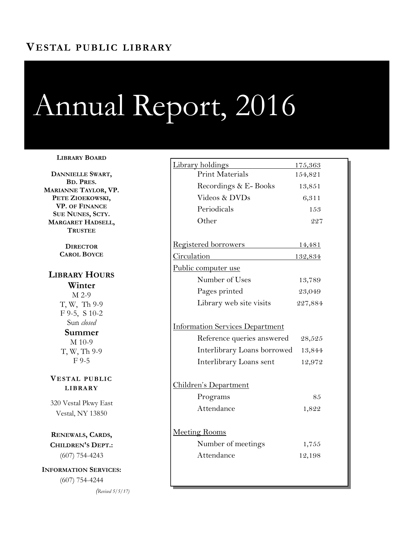# **VESTAL PUBLIC LIBRARY**

# Annual Report, 2016

#### **LIBRARY BOARD**

**DANNIELLE SWART, BD. PRES. MARIANNE TAYLOR, VP. PETE ZIOEKOWSKI, VP. OF FINANCE SUE NUNES, SCTY. MARGARET HADSELL, TRUSTEE**

> **DIRECTOR CAROL BOYCE**

## **LIBRARY HOURS Winter** M 2-9 T, W, Th 9-9 F 9-5, S 10-2 Sun *closed* **Summer** M 10-9 T, W, Th 9-9 F 9-5

**VESTAL PUBLIC LIBRARY**

320 Vestal Pkwy East Vestal, NY 13850

**RENEWALS, CARDS, CHILDREN'S DEPT.:**  (607) 754-4243

**INFORMATION SERVICES:**  (607) 754-4244

*(Revised 5/5/17)*

| Library holdings                                                                                                               | <u>175,363</u>             |
|--------------------------------------------------------------------------------------------------------------------------------|----------------------------|
| Print Materials                                                                                                                | 154,821                    |
| Recordings & E-Books                                                                                                           | 13,851                     |
| Videos & DVDs                                                                                                                  | 6,311                      |
| Periodicals                                                                                                                    | 153                        |
| Other                                                                                                                          | 227                        |
| <u>Registered borrowers</u>                                                                                                    | <u>14,481</u>              |
| Circulation                                                                                                                    | <u>132,834</u>             |
| Public computer use                                                                                                            |                            |
| Number of Uses                                                                                                                 | 13,789                     |
| Pages printed                                                                                                                  | 23,049                     |
| Library web site visits                                                                                                        | 227,884                    |
| <b>Information Services Department</b><br>Reference queries answered<br>Interlibrary Loans borrowed<br>Interlibrary Loans sent | 28,525<br>13,844<br>12,972 |
| Children's Department                                                                                                          |                            |
| Programs                                                                                                                       | 85                         |
|                                                                                                                                |                            |
| Attendance                                                                                                                     | 1,822                      |
| <b>Meeting Rooms</b>                                                                                                           |                            |
| Number of meetings                                                                                                             | 1,755                      |